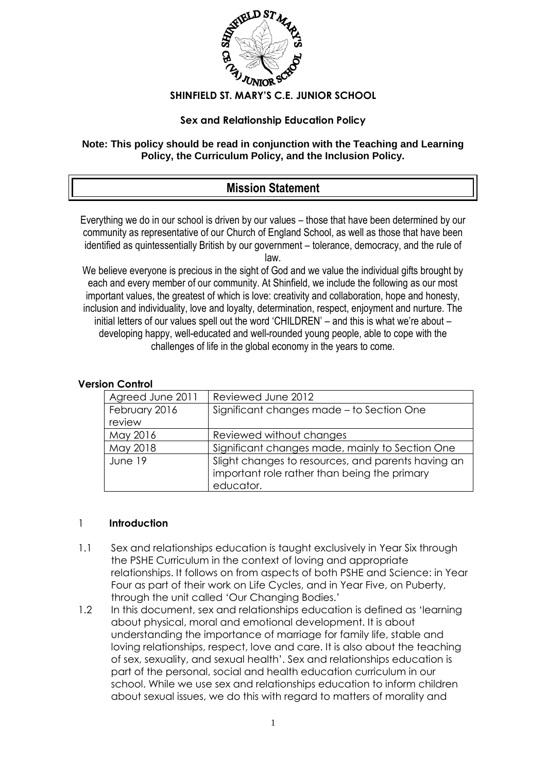

### **SHINFIELD ST. MARY'S C.E. JUNIOR SCHOOL**

### **Sex and Relationship Education Policy**

### **Note: This policy should be read in conjunction with the Teaching and Learning Policy, the Curriculum Policy, and the Inclusion Policy.**

# **Mission Statement**

Everything we do in our school is driven by our values – those that have been determined by our community as representative of our Church of England School, as well as those that have been identified as quintessentially British by our government – tolerance, democracy, and the rule of law.

We believe everyone is precious in the sight of God and we value the individual gifts brought by each and every member of our community. At Shinfield, we include the following as our most important values, the greatest of which is love: creativity and collaboration, hope and honesty, inclusion and individuality, love and loyalty, determination, respect, enjoyment and nurture. The initial letters of our values spell out the word 'CHILDREN' – and this is what we're about – developing happy, well-educated and well-rounded young people, able to cope with the challenges of life in the global economy in the years to come.

| וטוו שטוווטו     |                                                                                                    |
|------------------|----------------------------------------------------------------------------------------------------|
| Agreed June 2011 | Reviewed June 2012                                                                                 |
| February 2016    | Significant changes made - to Section One                                                          |
| review           |                                                                                                    |
| May 2016         | Reviewed without changes                                                                           |
| May 2018         | Significant changes made, mainly to Section One                                                    |
| June 19          | Slight changes to resources, and parents having an<br>important role rather than being the primary |
|                  | educator.                                                                                          |

## **Version Control**

#### 1 **Introduction**

- 1.1 Sex and relationships education is taught exclusively in Year Six through the PSHE Curriculum in the context of loving and appropriate relationships. It follows on from aspects of both PSHE and Science: in Year Four as part of their work on Life Cycles, and in Year Five, on Puberty, through the unit called 'Our Changing Bodies.'
- 1.2 In this document, sex and relationships education is defined as 'learning' about physical, moral and emotional development. It is about understanding the importance of marriage for family life, stable and loving relationships, respect, love and care. It is also about the teaching of sex, sexuality, and sexual health'. Sex and relationships education is part of the personal, social and health education curriculum in our school. While we use sex and relationships education to inform children about sexual issues, we do this with regard to matters of morality and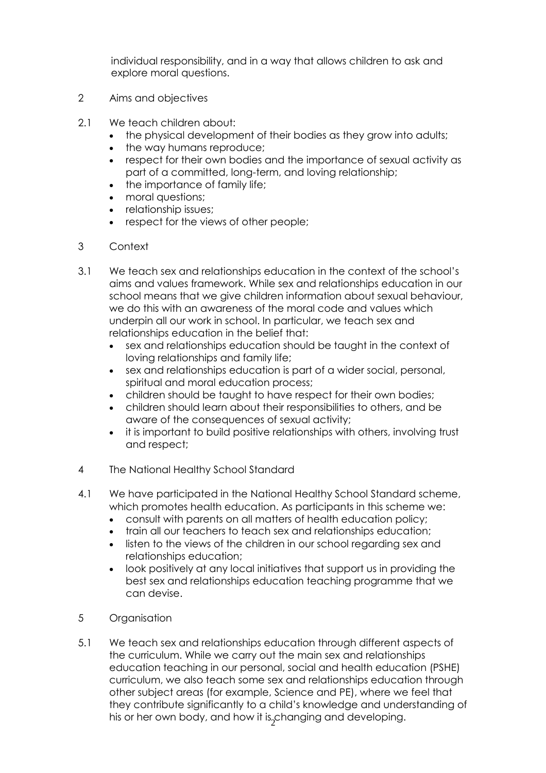individual responsibility, and in a way that allows children to ask and explore moral questions.

- 2 Aims and objectives
- 2.1 We teach children about:
	- the physical development of their bodies as they grow into adults;
	- the way humans reproduce;
	- respect for their own bodies and the importance of sexual activity as part of a committed, long-term, and loving relationship;
	- the importance of family life;
	- moral questions;
	- relationship issues;
	- respect for the views of other people;
- 3 Context
- 3.1 We teach sex and relationships education in the context of the school's aims and values framework. While sex and relationships education in our school means that we give children information about sexual behaviour, we do this with an awareness of the moral code and values which underpin all our work in school. In particular, we teach sex and relationships education in the belief that:
	- sex and relationships education should be taught in the context of loving relationships and family life;
	- sex and relationships education is part of a wider social, personal, spiritual and moral education process;
	- children should be taught to have respect for their own bodies;
	- children should learn about their responsibilities to others, and be aware of the consequences of sexual activity;
	- it is important to build positive relationships with others, involving trust and respect;
- 4 The National Healthy School Standard
- 4.1 We have participated in the National Healthy School Standard scheme, which promotes health education. As participants in this scheme we:
	- consult with parents on all matters of health education policy;
	- train all our teachers to teach sex and relationships education;
	- listen to the views of the children in our school regarding sex and relationships education;
	- look positively at any local initiatives that support us in providing the best sex and relationships education teaching programme that we can devise.
- 5 Organisation
- his or her own body, and how it is $_2^{}$ changing and developing. 5.1 We teach sex and relationships education through different aspects of the curriculum. While we carry out the main sex and relationships education teaching in our personal, social and health education (PSHE) curriculum, we also teach some sex and relationships education through other subject areas (for example, Science and PE), where we feel that they contribute significantly to a child's knowledge and understanding of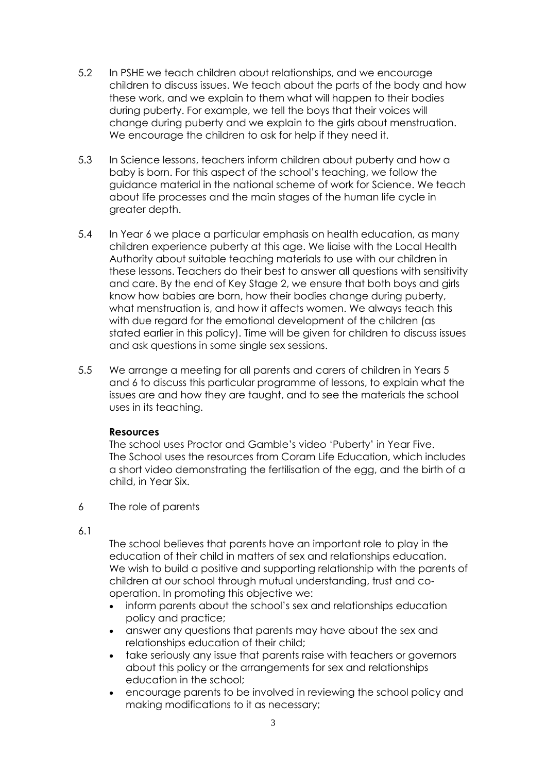- 5.2 In PSHE we teach children about relationships, and we encourage children to discuss issues. We teach about the parts of the body and how these work, and we explain to them what will happen to their bodies during puberty. For example, we tell the boys that their voices will change during puberty and we explain to the girls about menstruation. We encourage the children to ask for help if they need it.
- 5.3 In Science lessons, teachers inform children about puberty and how a baby is born. For this aspect of the school's teaching, we follow the guidance material in the national scheme of work for Science. We teach about life processes and the main stages of the human life cycle in greater depth.
- 5.4 In Year 6 we place a particular emphasis on health education, as many children experience puberty at this age. We liaise with the Local Health Authority about suitable teaching materials to use with our children in these lessons. Teachers do their best to answer all questions with sensitivity and care. By the end of Key Stage 2, we ensure that both boys and girls know how babies are born, how their bodies change during puberty, what menstruation is, and how it affects women. We always teach this with due regard for the emotional development of the children (as stated earlier in this policy). Time will be given for children to discuss issues and ask questions in some single sex sessions.
- 5.5 We arrange a meeting for all parents and carers of children in Years 5 and 6 to discuss this particular programme of lessons, to explain what the issues are and how they are taught, and to see the materials the school uses in its teaching.

### **Resources**

The school uses Proctor and Gamble's video 'Puberty' in Year Five. The School uses the resources from Coram Life Education, which includes a short video demonstrating the fertilisation of the egg, and the birth of a child, in Year Six.

- 6 The role of parents
- 6.1

The school believes that parents have an important role to play in the education of their child in matters of sex and relationships education. We wish to build a positive and supporting relationship with the parents of children at our school through mutual understanding, trust and cooperation. In promoting this objective we:

- inform parents about the school's sex and relationships education policy and practice;
- answer any questions that parents may have about the sex and relationships education of their child;
- take seriously any issue that parents raise with teachers or governors about this policy or the arrangements for sex and relationships education in the school;
- encourage parents to be involved in reviewing the school policy and making modifications to it as necessary;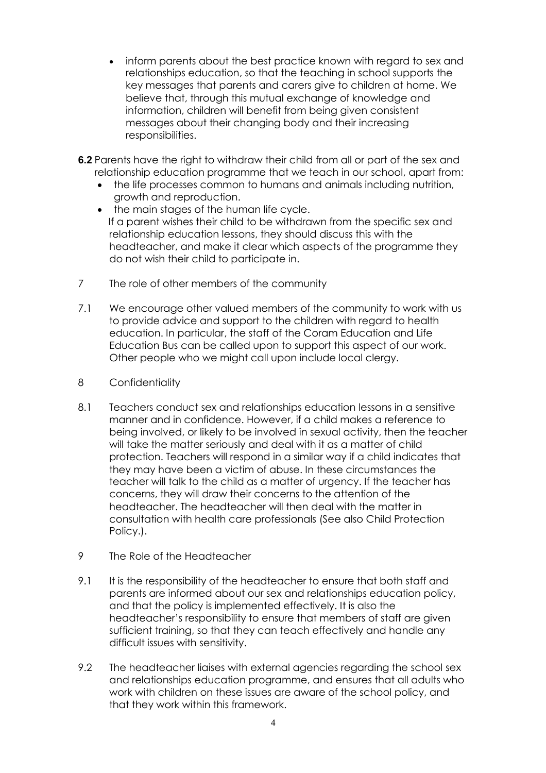- inform parents about the best practice known with regard to sex and relationships education, so that the teaching in school supports the key messages that parents and carers give to children at home. We believe that, through this mutual exchange of knowledge and information, children will benefit from being given consistent messages about their changing body and their increasing responsibilities.
- **6.2** Parents have the right to withdraw their child from all or part of the sex and relationship education programme that we teach in our school, apart from:
	- the life processes common to humans and animals including nutrition, growth and reproduction.
	- the main stages of the human life cycle. If a parent wishes their child to be withdrawn from the specific sex and relationship education lessons, they should discuss this with the headteacher, and make it clear which aspects of the programme they do not wish their child to participate in.
- 7 The role of other members of the community
- 7.1 We encourage other valued members of the community to work with us to provide advice and support to the children with regard to health education. In particular, the staff of the Coram Education and Life Education Bus can be called upon to support this aspect of our work. Other people who we might call upon include local clergy.
- 8 Confidentiality
- 8.1 Teachers conduct sex and relationships education lessons in a sensitive manner and in confidence. However, if a child makes a reference to being involved, or likely to be involved in sexual activity, then the teacher will take the matter seriously and deal with it as a matter of child protection. Teachers will respond in a similar way if a child indicates that they may have been a victim of abuse. In these circumstances the teacher will talk to the child as a matter of urgency. If the teacher has concerns, they will draw their concerns to the attention of the headteacher. The headteacher will then deal with the matter in consultation with health care professionals (See also Child Protection Policy.).
- 9 The Role of the Headteacher
- 9.1 It is the responsibility of the headteacher to ensure that both staff and parents are informed about our sex and relationships education policy, and that the policy is implemented effectively. It is also the headteacher's responsibility to ensure that members of staff are given sufficient training, so that they can teach effectively and handle any difficult issues with sensitivity.
- 9.2 The headteacher liaises with external agencies regarding the school sex and relationships education programme, and ensures that all adults who work with children on these issues are aware of the school policy, and that they work within this framework.